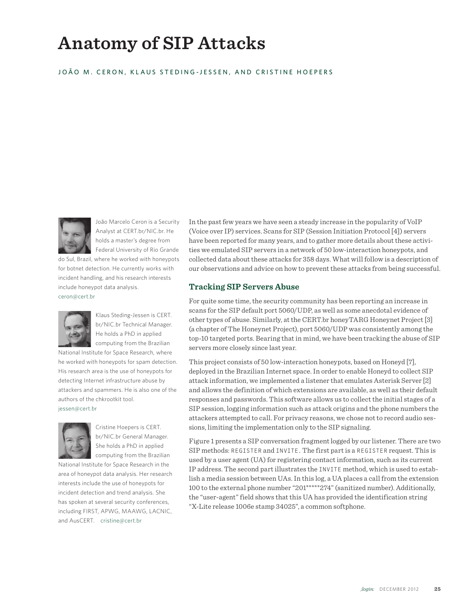# **Anatomy of SIP Attacks**

#### JOÃO M. CERON, KLAUS STEDING-JESSEN, AND CRISTINE HOEPERS



João Marcelo Ceron is a Security Analyst at CERT.br/NIC.br. He holds a master's degree from Federal University of Rio Grande

do Sul, Brazil, where he worked with honeypots for botnet detection. He currently works with incident handling, and his research interests include honeypot data analysis. ceron@cert.br



Klaus Steding-Jessen is CERT. br/NIC.br Technical Manager. He holds a PhD in applied computing from the Brazilian

National Institute for Space Research, where he worked with honeypots for spam detection. His research area is the use of honeypots for detecting Internet infrastructure abuse by attackers and spammers. He is also one of the authors of the chkrootkit tool. jessen@cert.br



Cristine Hoepers is CERT. br/NIC.br General Manager. She holds a PhD in applied computing from the Brazilian

National Institute for Space Research in the area of honeypot data analysis. Her research interests include the use of honeypots for incident detection and trend analysis. She has spoken at several security conferences, including FIRST, APWG, MAAWG, LACNIC, and AusCERT. cristine@cert.br

In the past few years we have seen a steady increase in the popularity of VoIP (Voice over IP) services. Scans for SIP (Session Initiation Protocol [4]) servers have been reported for many years, and to gather more details about these activities we emulated SIP servers in a network of 50 low-interaction honeypots, and collected data about these attacks for 358 days. What will follow is a description of our observations and advice on how to prevent these attacks from being successful.

#### **Tracking SIP Servers Abuse**

For quite some time, the security community has been reporting an increase in scans for the SIP default port 5060/UDP, as well as some anecdotal evidence of other types of abuse. Similarly, at the CERT.br honeyTARG Honeynet Project [3] (a chapter of The Honeynet Project), port 5060/UDP was consistently among the top-10 targeted ports. Bearing that in mind, we have been tracking the abuse of SIP servers more closely since last year.

This project consists of 50 low-interaction honeypots, based on Honeyd [7], deployed in the Brazilian Internet space. In order to enable Honeyd to collect SIP attack information, we implemented a listener that emulates Asterisk Server [2] and allows the definition of which extensions are available, as well as their default responses and passwords. This software allows us to collect the initial stages of a SIP session, logging information such as attack origins and the phone numbers the attackers attempted to call. For privacy reasons, we chose not to record audio sessions, limiting the implementation only to the SIP signaling.

Figure 1 presents a SIP conversation fragment logged by our listener. There are two SIP methods: REGISTER and INVITE. The first part is a REGISTER request. This is used by a user agent (UA) for registering contact information, such as its current IP address. The second part illustrates the INVITE method, which is used to establish a media session between UAs. In this log, a UA places a call from the extension 100 to the external phone number "201\*\*\*\*\*274" (sanitized number). Additionally, the "user-agent" field shows that this UA has provided the identification string "X-Lite release 1006e stamp 34025", a common softphone.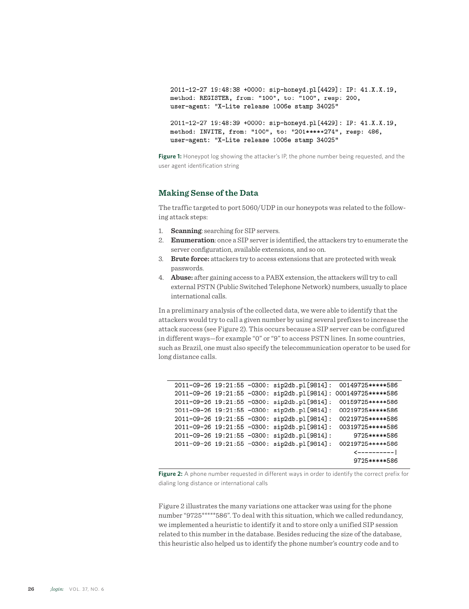```
2011-12-27 19:48:38 +0000: sip-honeyd.pl[4429]: IP: 41.X.X.19,
method: REGISTER, from: "100", to: "100", resp: 200,
user-agent: "X-Lite release 1006e stamp 34025"
```
2011-12-27 19:48:39 +0000: sip-honeyd.pl[4429]: IP: 41.X.X.19, method: INVITE, from: "100", to: "201\*\*\*\*\*274", resp: 486, user-agent: "X-Lite release 1006e stamp 34025"

Figure 1: Honeypot log showing the attacker's IP, the phone number being requested, and the user agent identification string

### **Making Sense of the Data**

The traffic targeted to port 5060/UDP in our honeypots was related to the following attack steps:

- 1. **Scanning**: searching for SIP servers.
- 2. **Enumeration**: once a SIP server is identified, the attackers try to enumerate the server configuration, available extensions, and so on.
- 3. **Brute force:** attackers try to access extensions that are protected with weak passwords.
- 4. **Abuse:** after gaining access to a PABX extension, the attackers will try to call external PSTN (Public Switched Telephone Network) numbers, usually to place international calls.

In a preliminary analysis of the collected data, we were able to identify that the attackers would try to call a given number by using several prefixes to increase the attack success (see Figure 2). This occurs because a SIP server can be configured in different ways—for example "0" or "9" to access PSTN lines. In some countries, such as Brazil, one must also specify the telecommunication operator to be used for long distance calls.

2011-09-26 19:21:55 -0300: sip2db.pl[9814]: 00149725\*\*\*\*\*586 2011-09-26 19:21:55 -0300: sip2db.pl[9814]: 000149725\*\*\*\*\*586 2011-09-26 19:21:55 -0300: sip2db.pl[9814]: 00159725\*\*\*\*\*586 2011-09-26 19:21:55 -0300: sip2db.pl[9814]: 00219725\*\*\*\*\*586 2011-09-26 19:21:55 -0300: sip2db.pl[9814]: 00219725\*\*\*\*\*586 2011-09-26 19:21:55 -0300: sip2db.pl[9814]: 00319725\*\*\*\*\*586 9725\*\*\*\*\*586 2011-09-26 19:21:55 -0300: sip2db.pl[9814]: 2011-09-26 19:21:55 -0300: sip2db.pl[9814]: 00219725\*\*\*\*\*586  $\leftarrow$ ---------| 9725\*\*\*\*\*586

**Figure 2:** A phone number requested in different ways in order to identify the correct prefix for dialing long distance or international calls

Figure 2 illustrates the many variations one attacker was using for the phone number "9725\*\*\*\*\*586". To deal with this situation, which we called redundancy, we implemented a heuristic to identify it and to store only a unified SIP session related to this number in the database. Besides reducing the size of the database, this heuristic also helped us to identify the phone number's country code and to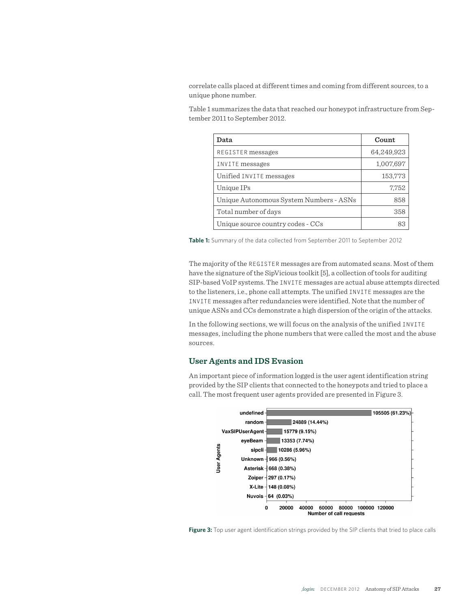correlate calls placed at different times and coming from different sources, to a unique phone number.

Table 1 summarizes the data that reached our honeypot infrastructure from September 2011 to September 2012.

| Data                                    | Count      |
|-----------------------------------------|------------|
| REGISTER messages                       | 64,249,923 |
| INVITE messages                         | 1,007,697  |
| Unified INVITE messages                 | 153,773    |
| Unique IPs                              | 7,752      |
| Unique Autonomous System Numbers - ASNs | 858        |
| Total number of days                    | 358        |
| Unique source country codes - CCs       |            |

**Table 1:** Summary of the data collected from September 2011 to September 2012

The majority of the REGISTER messages are from automated scans. Most of them have the signature of the SipVicious toolkit [5], a collection of tools for auditing SIP-based VoIP systems. The INVITE messages are actual abuse attempts directed to the listeners, i.e., phone call attempts. The unified INVITE messages are the INVITE messages after redundancies were identified. Note that the number of unique ASNs and CCs demonstrate a high dispersion of the origin of the attacks.

In the following sections, we will focus on the analysis of the unified INVITE messages, including the phone numbers that were called the most and the abuse sources.

#### **User Agents and IDS Evasion**

An important piece of information logged is the user agent identification string provided by the SIP clients that connected to the honeypots and tried to place a call. The most frequent user agents provided are presented in Figure 3.



**Figure 3:** Top user agent identification strings provided by the SIP clients that tried to place calls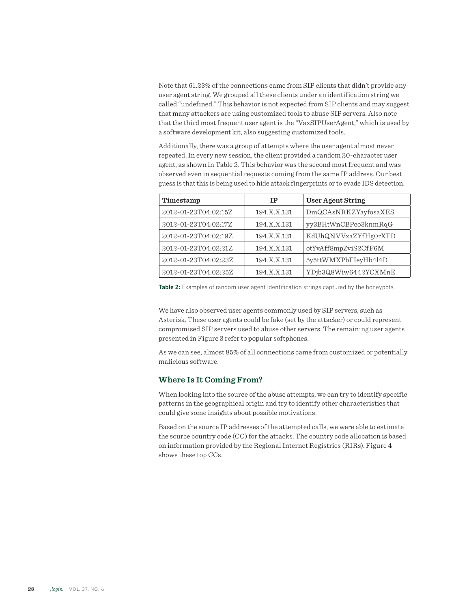Note that 61.23% of the connections came from SIP clients that didn't provide any user agent string. We grouped all these clients under an identification string we called "undefined." This behavior is not expected from SIP clients and may suggest that many attackers are using customized tools to abuse SIP servers. Also note that the third most frequent user agent is the "VaxSIPUserAgent," which is used by a software development kit, also suggesting customized tools.

Additionally, there was a group of attempts where the user agent almost never repeated. In every new session, the client provided a random 20-character user agent, as shown in Table 2. This behavior was the second most frequent and was observed even in sequential requests coming from the same IP address. Our best guess is that this is being used to hide attack fingerprints or to evade IDS detection.

| Timestamp            | ΤP          | <b>User Agent String</b> |
|----------------------|-------------|--------------------------|
| 2012-01-23T04:02:15Z | 194.X.X.131 | DmQCAsNRKZYayfosaXES     |
| 2012-01-23T04:02:17Z | 194.X.X.131 | vy3BHtWnCBPco3knmRqG     |
| 2012-01-23T04:02:19Z | 194.X.X.131 | KdUhQNVVxaZYfHg0rXFD     |
| 2012-01-23T04:02:21Z | 194.X.X.131 | otYvAff8mpZviS2CfF6M     |
| 2012-01-23T04:02:23Z | 194.X.X.131 | 5y5ttWMXPbFIeyHb4l4D     |
| 2012-01-23T04:02:25Z | 194.X.X.131 | YDjb3Q8Wiw6442YCXMnE     |

**Table 2:** Examples of random user agent identification strings captured by the honeypots

We have also observed user agents commonly used by SIP servers, such as Asterisk. These user agents could be fake (set by the attacker) or could represent compromised SIP servers used to abuse other servers. The remaining user agents presented in Figure 3 refer to popular softphones.

As we can see, almost 85% of all connections came from customized or potentially malicious software.

# **Where Is It Coming From?**

When looking into the source of the abuse attempts, we can try to identify specific patterns in the geographical origin and try to identify other characteristics that could give some insights about possible motivations.

Based on the source IP addresses of the attempted calls, we were able to estimate the source country code (CC) for the attacks. The country code allocation is based on information provided by the Regional Internet Registries (RIRs). Figure 4 shows these top CCs.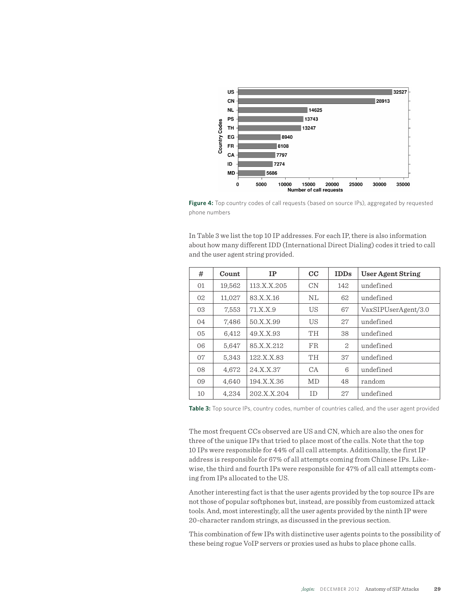

Figure 4: Top country codes of call requests (based on source IPs), aggregated by requested phone numbers

In Table 3 we list the top 10 IP addresses. For each IP, there is also information about how many different IDD (International Direct Dialing) codes it tried to call and the user agent string provided.

| #  | Count  | IP          | $_{\rm CC}$ | <b>IDDs</b> | User Agent String   |
|----|--------|-------------|-------------|-------------|---------------------|
| 01 | 19,562 | 113.X.X.205 | CN          | 142         | undefined           |
| 02 | 11,027 | 83.X.X.16   | NL          | 62          | undefined           |
| 03 | 7,553  | 71.X.X.9    | US          | 67          | VaxSIPUserAgent/3.0 |
| 04 | 7,486  | 50.X.X.99   | US          | 27          | undefined           |
| 05 | 6,412  | 49.X.X.93   | TH          | 38          | undefined           |
| 06 | 5,647  | 85.X.X.212  | <b>FR</b>   | 2           | undefined           |
| 07 | 5,343  | 122.X.X.83  | TH.         | 37          | undefined           |
| 08 | 4,672  | 24.X.X.37   | CA          | 6           | undefined           |
| 09 | 4.640  | 194.X.X.36  | <b>MD</b>   | 48          | random              |
| 10 | 4,234  | 202.X.X.204 | ID          | 27          | undefined           |

**Table 3:** Top source IPs, country codes, number of countries called, and the user agent provided

The most frequent CCs observed are US and CN, which are also the ones for three of the unique IPs that tried to place most of the calls. Note that the top 10 IPs were responsible for 44% of all call attempts. Additionally, the first IP address is responsible for 67% of all attempts coming from Chinese IPs. Likewise, the third and fourth IPs were responsible for 47% of all call attempts coming from IPs allocated to the US.

Another interesting fact is that the user agents provided by the top source IPs are not those of popular softphones but, instead, are possibly from customized attack tools. And, most interestingly, all the user agents provided by the ninth IP were 20-character random strings, as discussed in the previous section.

This combination of few IPs with distinctive user agents points to the possibility of these being rogue VoIP servers or proxies used as hubs to place phone calls.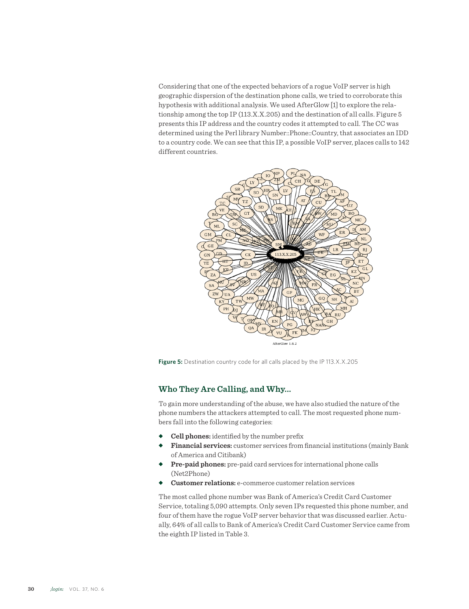Considering that one of the expected behaviors of a rogue VoIP server is high geographic dispersion of the destination phone calls, we tried to corroborate this hypothesis with additional analysis. We used AfterGlow [1] to explore the relationship among the top IP (113.X.X.205) and the destination of all calls. Figure 5 presents this IP address and the country codes it attempted to call. The CC was determined using the Perl library Number::Phone::Country, that associates an IDD to a country code. We can see that this IP, a possible VoIP server, places calls to 142 different countries.



**Figure 5:** Destination country code for all calls placed by the IP 113.X.X.205

# **Who They Are Calling, and Why...**

To gain more understanding of the abuse, we have also studied the nature of the phone numbers the attackers attempted to call. The most requested phone numbers fall into the following categories:

- ◆ **Cell phones:** identified by the number prefix
- **Financial services:** customer services from financial institutions (mainly Bank of America and Citibank)
- **Pre-paid phones:** pre-paid card services for international phone calls (Net2Phone)
- **Customer relations:** e-commerce customer relation services

The most called phone number was Bank of America's Credit Card Customer Service, totaling 5,090 attempts. Only seven IPs requested this phone number, and four of them have the rogue VoIP server behavior that was discussed earlier. Actually, 64% of all calls to Bank of America's Credit Card Customer Service came from the eighth IP listed in Table 3.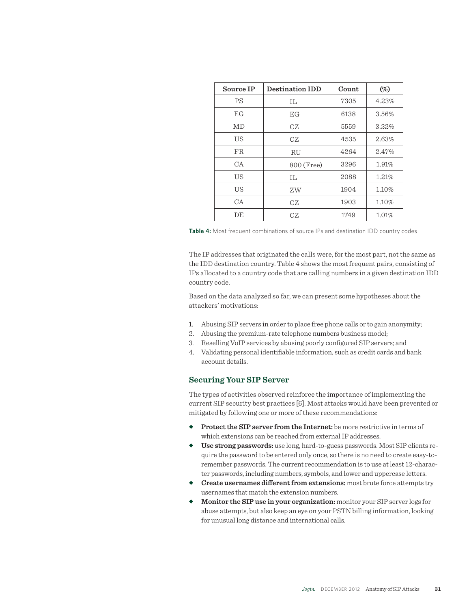| Source IP | <b>Destination IDD</b> | Count | $(\%)$ |
|-----------|------------------------|-------|--------|
| PS        | TΤ.                    | 7305  | 4.23%  |
| EGF       | EG                     | 6138  | 3.56%  |
| MD        | CZ                     | 5559  | 3.22%  |
| US        | CZ                     | 4535  | 2.63%  |
| FR.       | RU                     | 4264  | 2.47%  |
| CA        | 800 (Free)             | 3296  | 1.91%  |
| US        | TΤ.                    | 2088  | 1.21%  |
| US        | ΖW                     | 1904  | 1.10%  |
| CA        | CZ.                    | 1903  | 1.10%  |
| DE        | CZ.                    | 1749  | 1.01%  |



The IP addresses that originated the calls were, for the most part, not the same as the IDD destination country. Table 4 shows the most frequent pairs, consisting of IPs allocated to a country code that are calling numbers in a given destination IDD country code.

Based on the data analyzed so far, we can present some hypotheses about the attackers' motivations:

- 1. Abusing SIP servers in order to place free phone calls or to gain anonymity;
- 2. Abusing the premium-rate telephone numbers business model;
- 3. Reselling VoIP services by abusing poorly configured SIP servers; and
- 4. Validating personal identifiable information, such as credit cards and bank account details.

## **Securing Your SIP Server**

The types of activities observed reinforce the importance of implementing the current SIP security best practices [6]. Most attacks would have been prevented or mitigated by following one or more of these recommendations:

- ◆ **Protect the SIP server from the Internet:** be more restrictive in terms of which extensions can be reached from external IP addresses.
- ◆ Use strong passwords: use long, hard-to-guess passwords. Most SIP clients require the password to be entered only once, so there is no need to create easy-toremember passwords. The current recommendation is to use at least 12-character passwords, including numbers, symbols, and lower and uppercase letters.
- **Create usernames different from extensions:** most brute force attempts try usernames that match the extension numbers.
- ◆ Monitor the SIP use in your organization: monitor your SIP server logs for abuse attempts, but also keep an eye on your PSTN billing information, looking for unusual long distance and international calls.